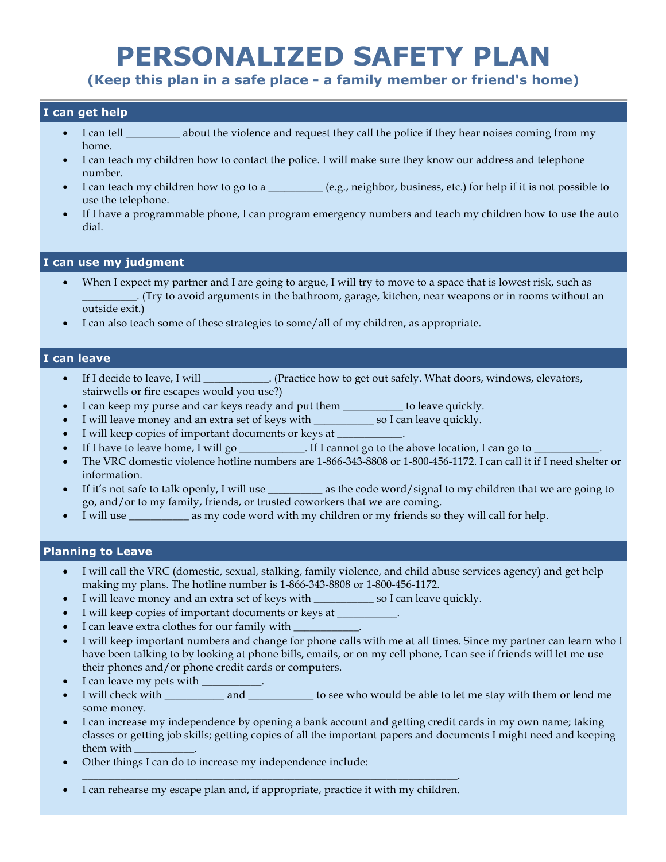# **PERSONALIZED SAFETY PLAN**

**(Keep this plan in a safe place - a family member or friend's home)**

## **I can get help**

- I can tell \_\_\_\_\_\_\_\_\_\_ about the violence and request they call the police if they hear noises coming from my home.
- I can teach my children how to contact the police. I will make sure they know our address and telephone number.
- I can teach my children how to go to a \_\_\_\_\_\_\_\_\_ (e.g., neighbor, business, etc.) for help if it is not possible to use the telephone.
- If I have a programmable phone, I can program emergency numbers and teach my children how to use the auto dial.

### **I can use my judgment**

- When I expect my partner and I are going to argue, I will try to move to a space that is lowest risk, such as \_\_\_\_\_\_\_\_\_\_. (Try to avoid arguments in the bathroom, garage, kitchen, near weapons or in rooms without an outside exit.)
- I can also teach some of these strategies to some/all of my children, as appropriate.

## **I can leave**

- If I decide to leave, I will  $\blacksquare$ . (Practice how to get out safely. What doors, windows, elevators, stairwells or fire escapes would you use?)
- I can keep my purse and car keys ready and put them \_\_\_\_\_\_\_\_\_\_\_ to leave quickly.
- I will leave money and an extra set of keys with \_\_\_\_\_\_\_\_\_\_\_ so I can leave quickly.
- I will keep copies of important documents or keys at
- If I have to leave home, I will go \_\_\_\_\_\_\_\_\_\_. If I cannot go to the above location, I can go to  $\Box$
- The VRC domestic violence hotline numbers are 1-866-343-8808 or 1-800-456-1172. I can call it if I need shelter or information.
- If it's not safe to talk openly, I will use \_\_\_\_\_\_\_\_\_\_\_ as the code word/signal to my children that we are going to go, and/or to my family, friends, or trusted coworkers that we are coming.
- I will use \_\_\_\_\_\_\_\_\_\_\_ as my code word with my children or my friends so they will call for help.

### **Planning to Leave**

- I will call the VRC (domestic, sexual, stalking, family violence, and child abuse services agency) and get help making my plans. The hotline number is 1-866-343-8808 or 1-800-456-1172.
- I will leave money and an extra set of keys with \_\_\_\_\_\_\_\_\_\_\_ so I can leave quickly.
- I will keep copies of important documents or keys at
- I can leave extra clothes for our family with
- I will keep important numbers and change for phone calls with me at all times. Since my partner can learn who I have been talking to by looking at phone bills, emails, or on my cell phone, I can see if friends will let me use their phones and/or phone credit cards or computers.
- I can leave my pets with  $\_\_$
- I will check with \_\_\_\_\_\_\_\_\_\_\_\_ and \_\_\_\_\_\_\_\_\_\_\_ to see who would be able to let me stay with them or lend me some money.
- I can increase my independence by opening a bank account and getting credit cards in my own name; taking classes or getting job skills; getting copies of all the important papers and documents I might need and keeping them with
- Other things I can do to increase my independence include:
- I can rehearse my escape plan and, if appropriate, practice it with my children.

\_\_\_\_\_\_\_\_\_\_\_\_\_\_\_\_\_\_\_\_\_\_\_\_\_\_\_\_\_\_\_\_\_\_\_\_\_\_\_\_\_\_\_\_\_\_\_\_\_\_\_\_\_\_\_\_\_\_\_\_\_\_\_\_\_\_\_\_\_.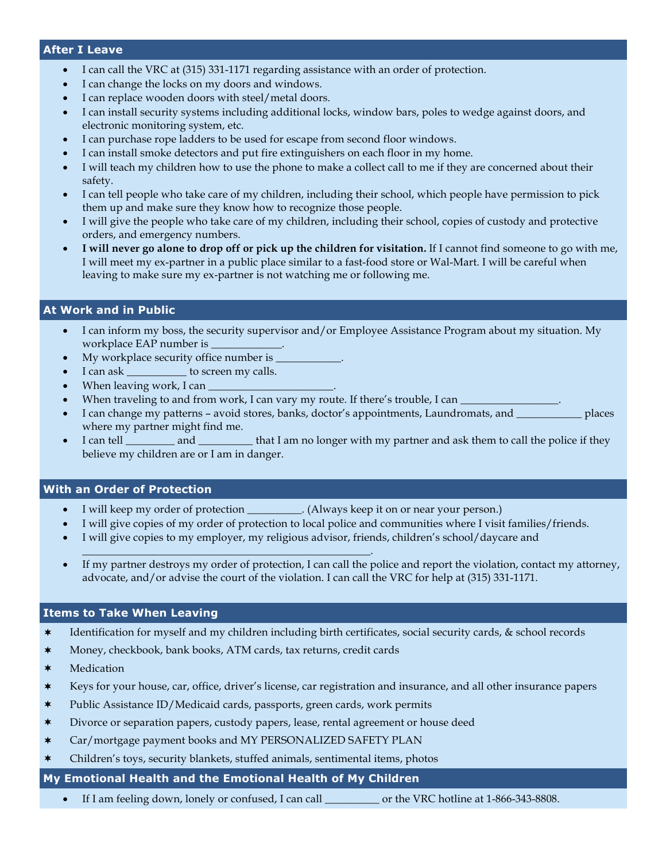#### **After I Leave**

- I can call the VRC at (315) 331-1171 regarding assistance with an order of protection.
- I can change the locks on my doors and windows.
- I can replace wooden doors with steel/metal doors.
- I can install security systems including additional locks, window bars, poles to wedge against doors, and electronic monitoring system, etc.
- I can purchase rope ladders to be used for escape from second floor windows.
- I can install smoke detectors and put fire extinguishers on each floor in my home.
- I will teach my children how to use the phone to make a collect call to me if they are concerned about their safety.
- I can tell people who take care of my children, including their school, which people have permission to pick them up and make sure they know how to recognize those people.
- I will give the people who take care of my children, including their school, copies of custody and protective orders, and emergency numbers.
- **I will never go alone to drop off or pick up the children for visitation.** If I cannot find someone to go with me, I will meet my ex-partner in a public place similar to a fast-food store or Wal-Mart. I will be careful when leaving to make sure my ex-partner is not watching me or following me.

### **At Work and in Public**

- I can inform my boss, the security supervisor and/or Employee Assistance Program about my situation. My workplace EAP number is
- My workplace security office number is  $\blacksquare$
- I can ask \_\_\_\_\_\_\_\_\_\_\_ to screen my calls.
- When leaving work, I can
- When traveling to and from work, I can vary my route. If there's trouble, I can
- I can change my patterns avoid stores, banks, doctor's appointments, Laundromats, and \_\_\_\_\_\_\_\_\_\_\_\_ places where my partner might find me.
- I can tell \_\_\_\_\_\_\_\_ and \_\_\_\_\_\_\_\_\_\_ that I am no longer with my partner and ask them to call the police if they believe my children are or I am in danger.

#### **With an Order of Protection**

- I will keep my order of protection \_\_\_\_\_\_\_\_\_. (Always keep it on or near your person.)
- I will give copies of my order of protection to local police and communities where I visit families/friends.
- I will give copies to my employer, my religious advisor, friends, children's school/daycare and
- If my partner destroys my order of protection, I can call the police and report the violation, contact my attorney, advocate, and/or advise the court of the violation. I can call the VRC for help at (315) 331-1171.

### **Items to Take When Leaving**

- ¬ Identification for myself and my children including birth certificates, social security cards, & school records
- ¬ Money, checkbook, bank books, ATM cards, tax returns, credit cards

\_\_\_\_\_\_\_\_\_\_\_\_\_\_\_\_\_\_\_\_\_\_\_\_\_\_\_\_\_\_\_\_\_\_\_\_\_\_\_\_\_\_\_\_\_\_\_\_\_\_\_\_\_.

- \* Medication
- ¬ Keys for your house, car, office, driver's license, car registration and insurance, and all other insurance papers
- ¬ Public Assistance ID/Medicaid cards, passports, green cards, work permits
- ¬ Divorce or separation papers, custody papers, lease, rental agreement or house deed
- \* Car/mortgage payment books and MY PERSONALIZED SAFETY PLAN
- Children's toys, security blankets, stuffed animals, sentimental items, photos

### **My Emotional Health and the Emotional Health of My Children**

• If I am feeling down, lonely or confused, I can call \_\_\_\_\_\_\_\_\_\_ or the VRC hotline at 1-866-343-8808.